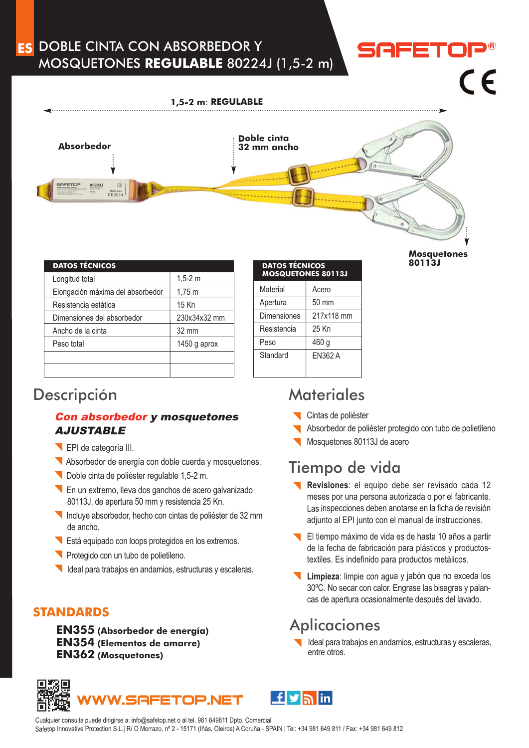### DOBLE CINTA CON ABSORBEDOR Y **ES**MOSQUETONES **REGULABLE** 80224J (1,5-2 m)

# $\epsilon$

**Mosquetones 80113J**

#### **1,5-2 <sup>m</sup>**: **REGULABLE**



| <b>DATOS TÉCNICOS</b>            |                 | <b>DATOS TÉCNICOS</b>    |                 |
|----------------------------------|-----------------|--------------------------|-----------------|
| Longitud total                   | $1,5-2$ m       | <b>MOSQUETONES &amp;</b> |                 |
| Elongación máxima del absorbedor | $1,75 \; m$     | Material                 | Ace             |
| Resistencia estática             | 15 Kn           | Apertura                 | 50r             |
| Dimensiones del absorbedor       | 230x34x32 mm    | <b>Dimensiones</b>       | 217             |
| Ancho de la cinta                | $32 \text{ mm}$ | Resistencia              | 25 <sub>k</sub> |
| Peso total                       | 1450 g aprox    | Peso                     | 460             |
|                                  |                 | Standard                 | EN:             |
|                                  |                 |                          |                 |
|                                  |                 |                          |                 |

| <b>DATOS TÉCNICOS</b><br><b>MOSQUETONES 80113J</b> |                 |
|----------------------------------------------------|-----------------|
| Material                                           | Acero           |
| Apertura                                           | $50 \text{ mm}$ |
| Dimensiones                                        | 217x118 mm      |
| Resistencia                                        | 25 Kn           |
| Peso                                               | 460 q           |
| Standard                                           | EN362 A         |

### Descripción Materiales

### Con absorbedor y mosquetones AJUSTABLE

- EPI de categoría III.
- Absorbedor de energía con doble cuerda y mosquetones.
- Doble cinta de poliéster regulable 1,5-2 m.
- En un extremo, lleva dos ganchos de acero galvanizado 80113J, de apertura 50 mm y resistencia 25 Kn.
- Incluye absorbedor, hecho con cintas de poliéster de 32 mm de ancho.
- Está equipado con loops protegidos en los extremos.
- Protegido con un tubo de polietileno.
- Ideal para trabajos en andamios, estructuras y escaleras.

### **STANDARDS**

**EN355 (Absorbedor de energía) EN354 (Elementos de amarre) EN362 (Mosquetones)**

- Cintas de poliéster
- Absorbedor de poliéster protegido con tubo de polietileno
- Mosquetones 80113J de acero

## Tiempo de vida

- **Revisiones**: el equipo debe ser revisado cada 12 meses por una persona autorizada <sup>o</sup> por el fabricante. Las inspecciones deben anotarse en la ficha de revisión adjunto al EPI junto con el manual de instrucciones.
- El tiempo máximo de vida es de hasta 10 años <sup>a</sup> partir de la fecha de fabricación para plásticos y productostextiles. Es indefinido para productos metálicos.
- **Limpieza**: limpie con agua y jabón que no exceda los 30ºC. No secar con calor. Engrase las bisagras y palancas de apertura ocasionalmente después del lavado.

## **Aplicaciones**

Ideal para trabajos en andamios, estructuras y escaleras, entre otros.